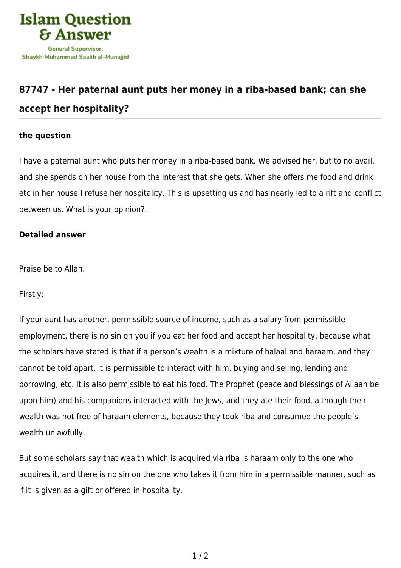

## **[87747 - Her paternal aunt puts her money in a riba-based bank; can she](https://islamqa.com/en/answers/87747/her-paternal-aunt-puts-her-money-in-a-riba-based-bank-can-she-accept-her-hospitality) [accept her hospitality?](https://islamqa.com/en/answers/87747/her-paternal-aunt-puts-her-money-in-a-riba-based-bank-can-she-accept-her-hospitality)**

## **the question**

I have a paternal aunt who puts her money in a riba-based bank. We advised her, but to no avail, and she spends on her house from the interest that she gets. When she offers me food and drink etc in her house I refuse her hospitality. This is upsetting us and has nearly led to a rift and conflict between us. What is your opinion?.

## **Detailed answer**

Praise be to Allah.

Firstly:

If your aunt has another, permissible source of income, such as a salary from permissible employment, there is no sin on you if you eat her food and accept her hospitality, because what the scholars have stated is that if a person's wealth is a mixture of halaal and haraam, and they cannot be told apart, it is permissible to interact with him, buying and selling, lending and borrowing, etc. It is also permissible to eat his food. The Prophet (peace and blessings of Allaah be upon him) and his companions interacted with the Jews, and they ate their food, although their wealth was not free of haraam elements, because they took riba and consumed the people's wealth unlawfully.

But some scholars say that wealth which is acquired via riba is haraam only to the one who acquires it, and there is no sin on the one who takes it from him in a permissible manner, such as if it is given as a gift or offered in hospitality.